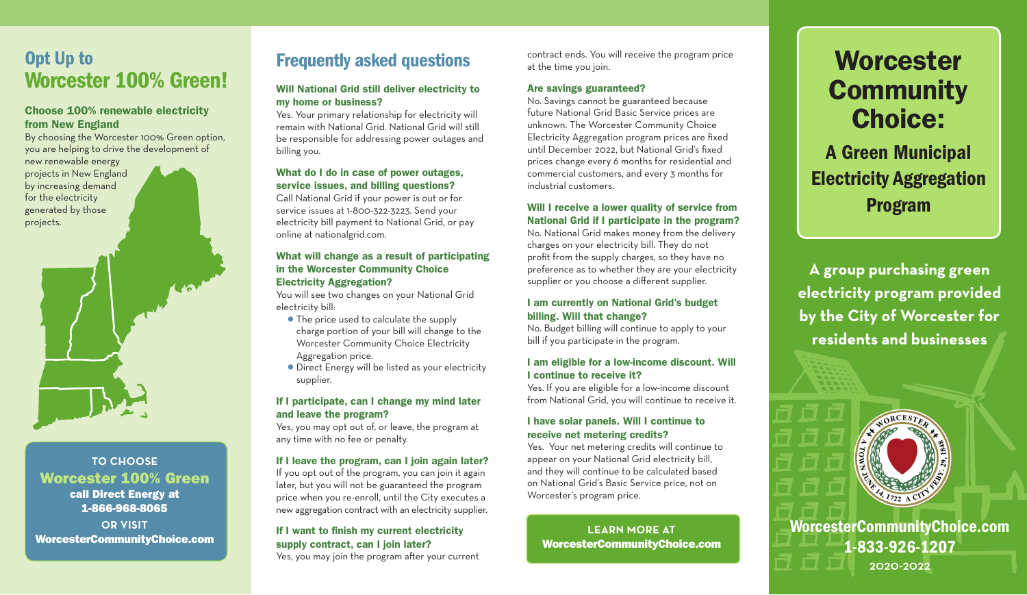# Opt Up to Worcester 100% Green!

#### Choose 100% renewable electricity from New England

By choosing the Worcester 100% Green option, you are helping to drive the development of new renewable energy projects in New England by increasing demand

for the electricity generated by those projects.



**TO CHOOSE** Worcester 100% Green call Direct Energy at 1-866-968-8065

**OR VISIT** WorcesterCommunityChoice.com

# Frequently asked questions

#### Will National Grid still deliver electricity to my home or business?

Yes. Your primary relationship for electricity will remain with National Grid. National Grid will still be responsible for addressing power outages and billing you.

#### What do I do in case of power outages, service issues, and billing questions?

Call National Grid if your power is out or for service issues at 1-800-322-3223. Send your electricity bill payment to National Grid, or pay online at nationalgrid.com.

#### What will change as a result of participating in the Worcester Community Choice Electricity Aggregation?

You will see two changes on your National Grid electricity bill:

- The price used to calculate the supply charge portion of your bill will change to the Worcester Community Choice Electricity Aggregation price.
- Direct Energy will be listed as your electricity supplier.

#### If I participate, can I change my mind later and leave the program?

Yes, you may opt out of, or leave, the program at any time with no fee or penalty.

#### If I leave the program, can I join again later?

If you opt out of the program, you can join it again later, but you will not be guaranteed the program price when you re-enroll, until the City executes a new aggregation contract with an electricity supplier.

#### If I want to finish my current electricity supply contract, can I join later?

Yes, you may join the program after your current

contract ends. You will receive the program price at the time you join.

#### Are savings guaranteed?

No. Savings cannot be guaranteed because future National Grid Basic Service prices are unknown. The Worcester Community Choice Electricity Aggregation program prices are fixed until December 2022, but National Grid's fixed prices change every 6 months for residential and commercial customers, and every 3 months for industrial customers.

#### Will I receive a lower quality of service from National Grid if I participate in the program?

No. National Grid makes money from the delivery charges on your electricity bill. They do not profit from the supply charges, so they have no preference as to whether they are your electricity supplier or you choose a different supplier.

#### I am currently on National Grid's budget billing. Will that change?

No. Budget billing will continue to apply to your bill if you participate in the program.

#### I am eligible for a low-income discount. Will I continue to receive it?

Yes. If you are eligible for a low-income discount from National Grid, you will continue to receive it.

#### I have solar panels. Will I continue to receive net metering credits?

Yes. Your net metering credits will continue to appear on your National Grid electricity bill, and they will continue to be calculated based on National Grid's Basic Service price, not on Worcester's program price.

**LEARN MORE AT** WorcesterCommunityChoice.com

# **Worcester Community** Choice:

A Green Municipal Electricity Aggregation Program

**A group purchasing green electricity program provided by the City of Worcester for residents and businesses**



WorcesterCommunityChoice.com 1-833-926-1207 2020-2022